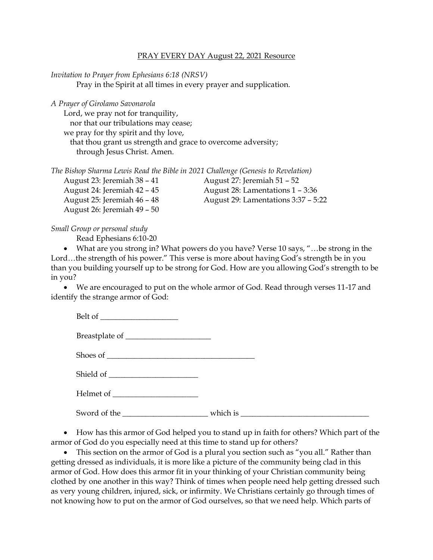## PRAY EVERY DAY August 22, 2021 Resource

*Invitation to Prayer from Ephesians 6:18 (NRSV)*

Pray in the Spirit at all times in every prayer and supplication.

*A Prayer of Girolamo Savonarola*

Lord, we pray not for tranquility, nor that our tribulations may cease; we pray for thy spirit and thy love, that thou grant us strength and grace to overcome adversity;

through Jesus Christ. Amen.

|  |  |  |  |  | The Bishop Sharma Lewis Read the Bible in 2021 Challenge (Genesis to Revelation) |
|--|--|--|--|--|----------------------------------------------------------------------------------|
|  |  |  |  |  |                                                                                  |

| August 23: Jeremiah 38 – 41 | August 27: Jeremiah 51 – 52         |
|-----------------------------|-------------------------------------|
| August 24: Jeremiah 42 – 45 | August 28: Lamentations 1 – 3:36    |
| August 25: Jeremiah 46 – 48 | August 29: Lamentations 3:37 – 5:22 |
| August 26: Jeremiah 49 – 50 |                                     |

## *Small Group or personal study*

Read Ephesians 6:10-20

• What are you strong in? What powers do you have? Verse 10 says, "...be strong in the Lord…the strength of his power." This verse is more about having God's strength be in you than you building yourself up to be strong for God. How are you allowing God's strength to be in you?

• We are encouraged to put on the whole armor of God. Read through verses 11-17 and identify the strange armor of God:

Belt of

Breastplate of \_\_\_\_\_\_\_\_\_\_\_\_\_\_\_\_\_\_\_\_\_\_

Shoes of \_\_\_\_\_\_\_\_\_\_\_\_\_\_\_\_\_\_\_\_\_\_\_\_\_\_\_\_\_\_\_\_\_\_\_\_\_\_

Shield of

Helmet of

Sword of the the state of the state of the state of the state of the state of the state of the state of the state of the state of the state of the state of the state of the state of the state of the state of the state of t

• How has this armor of God helped you to stand up in faith for others? Which part of the armor of God do you especially need at this time to stand up for others?

• This section on the armor of God is a plural you section such as "you all." Rather than getting dressed as individuals, it is more like a picture of the community being clad in this armor of God. How does this armor fit in your thinking of your Christian community being clothed by one another in this way? Think of times when people need help getting dressed such as very young children, injured, sick, or infirmity. We Christians certainly go through times of not knowing how to put on the armor of God ourselves, so that we need help. Which parts of